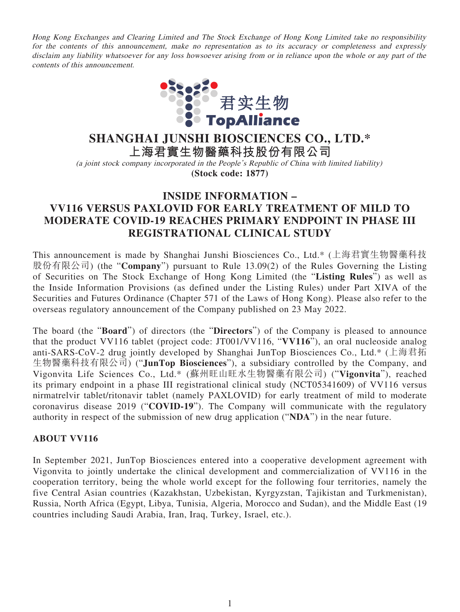Hong Kong Exchanges and Clearing Limited and The Stock Exchange of Hong Kong Limited take no responsibility for the contents of this announcement, make no representation as to its accuracy or completeness and expressly disclaim any liability whatsoever for any loss howsoever arising from or in reliance upon the whole or any part of the contents of this announcement.



# **SHANGHAI JUNSHI BIOSCIENCES CO., LTD.\***

**上海君實生物醫藥科技股份有限公司**

(a joint stock company incorporated in the People's Republic of China with limited liability) **(Stock code: 1877)**

# **INSIDE INFORMATION – VV116 VERSUS PAXLOVID FOR EARLY TREATMENT OF MILD TO MODERATE COVID-19 REACHES PRIMARY ENDPOINT IN PHASE III REGISTRATIONAL CLINICAL STUDY**

This announcement is made by Shanghai Junshi Biosciences Co., Ltd.\* (上海君實生物醫藥科技 股份有限公司) (the "**Company**") pursuant to Rule 13.09(2) of the Rules Governing the Listing of Securities on The Stock Exchange of Hong Kong Limited (the "**Listing Rules**") as well as the Inside Information Provisions (as defined under the Listing Rules) under Part XIVA of the Securities and Futures Ordinance (Chapter 571 of the Laws of Hong Kong). Please also refer to the overseas regulatory announcement of the Company published on 23 May 2022.

The board (the "**Board**") of directors (the "**Directors**") of the Company is pleased to announce that the product VV116 tablet (project code: JT001/VV116, "**VV116**"), an oral nucleoside analog anti-SARS-CoV-2 drug jointly developed by Shanghai JunTop Biosciences Co., Ltd.\* (上海君拓 生物醫藥科技有限公司) ("**JunTop Biosciences**"), a subsidiary controlled by the Company, and Vigonvita Life Sciences Co., Ltd.\* (蘇州旺山旺水生物醫藥有限公司) ("**Vigonvita**"), reached its primary endpoint in a phase III registrational clinical study (NCT05341609) of VV116 versus nirmatrelvir tablet/ritonavir tablet (namely PAXLOVID) for early treatment of mild to moderate coronavirus disease 2019 ("**COVID-19**"). The Company will communicate with the regulatory authority in respect of the submission of new drug application ("**NDA**") in the near future.

## **ABOUT VV116**

In September 2021, JunTop Biosciences entered into a cooperative development agreement with Vigonvita to jointly undertake the clinical development and commercialization of VV116 in the cooperation territory, being the whole world except for the following four territories, namely the five Central Asian countries (Kazakhstan, Uzbekistan, Kyrgyzstan, Tajikistan and Turkmenistan), Russia, North Africa (Egypt, Libya, Tunisia, Algeria, Morocco and Sudan), and the Middle East (19 countries including Saudi Arabia, Iran, Iraq, Turkey, Israel, etc.).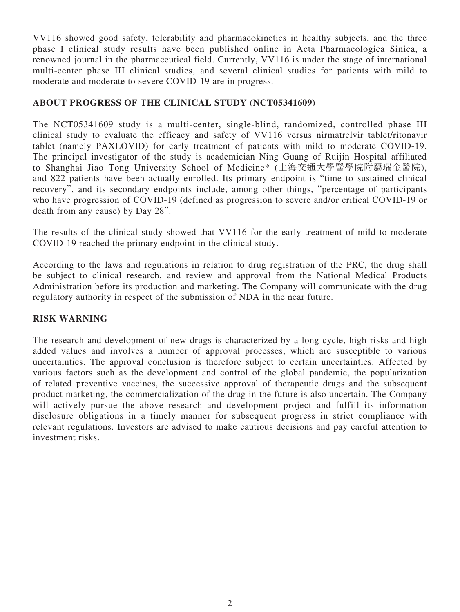VV116 showed good safety, tolerability and pharmacokinetics in healthy subjects, and the three phase I clinical study results have been published online in Acta Pharmacologica Sinica, a renowned journal in the pharmaceutical field. Currently, VV116 is under the stage of international multi-center phase III clinical studies, and several clinical studies for patients with mild to moderate and moderate to severe COVID-19 are in progress.

# **ABOUT PROGRESS OF THE CLINICAL STUDY (NCT05341609)**

The NCT05341609 study is a multi-center, single-blind, randomized, controlled phase III clinical study to evaluate the efficacy and safety of VV116 versus nirmatrelvir tablet/ritonavir tablet (namely PAXLOVID) for early treatment of patients with mild to moderate COVID-19. The principal investigator of the study is academician Ning Guang of Ruijin Hospital affiliated to Shanghai Jiao Tong University School of Medicine\* (上海交通大學醫學院附屬瑞金醫院), and 822 patients have been actually enrolled. Its primary endpoint is "time to sustained clinical recovery", and its secondary endpoints include, among other things, "percentage of participants who have progression of COVID-19 (defined as progression to severe and/or critical COVID-19 or death from any cause) by Day 28".

The results of the clinical study showed that VV116 for the early treatment of mild to moderate COVID-19 reached the primary endpoint in the clinical study.

According to the laws and regulations in relation to drug registration of the PRC, the drug shall be subject to clinical research, and review and approval from the National Medical Products Administration before its production and marketing. The Company will communicate with the drug regulatory authority in respect of the submission of NDA in the near future.

## **RISK WARNING**

The research and development of new drugs is characterized by a long cycle, high risks and high added values and involves a number of approval processes, which are susceptible to various uncertainties. The approval conclusion is therefore subject to certain uncertainties. Affected by various factors such as the development and control of the global pandemic, the popularization of related preventive vaccines, the successive approval of therapeutic drugs and the subsequent product marketing, the commercialization of the drug in the future is also uncertain. The Company will actively pursue the above research and development project and fulfill its information disclosure obligations in a timely manner for subsequent progress in strict compliance with relevant regulations. Investors are advised to make cautious decisions and pay careful attention to investment risks.